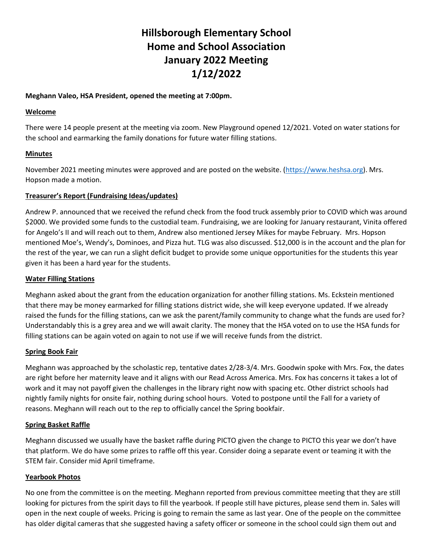# **Hillsborough Elementary School Home and School Association January 2022 Meeting 1/12/2022**

## **Meghann Valeo, HSA President, opened the meeting at 7:00pm.**

#### **Welcome**

There were 14 people present at the meeting via zoom. New Playground opened 12/2021. Voted on water stations for the school and earmarking the family donations for future water filling stations.

## **Minutes**

November 2021 meeting minutes were approved and are posted on the website. [\(https://www.heshsa.org\)](https://www.heshsa.org/). Mrs. Hopson made a motion.

# **Treasurer's Report (Fundraising Ideas/updates)**

Andrew P. announced that we received the refund check from the food truck assembly prior to COVID which was around \$2000. We provided some funds to the custodial team. Fundraising, we are looking for January restaurant, Vinita offered for Angelo's II and will reach out to them, Andrew also mentioned Jersey Mikes for maybe February. Mrs. Hopson mentioned Moe's, Wendy's, Dominoes, and Pizza hut. TLG was also discussed. \$12,000 is in the account and the plan for the rest of the year, we can run a slight deficit budget to provide some unique opportunities for the students this year given it has been a hard year for the students.

#### **Water Filling Stations**

Meghann asked about the grant from the education organization for another filling stations. Ms. Eckstein mentioned that there may be money earmarked for filling stations district wide, she will keep everyone updated. If we already raised the funds for the filling stations, can we ask the parent/family community to change what the funds are used for? Understandably this is a grey area and we will await clarity. The money that the HSA voted on to use the HSA funds for filling stations can be again voted on again to not use if we will receive funds from the district.

#### **Spring Book Fair**

Meghann was approached by the scholastic rep, tentative dates 2/28-3/4. Mrs. Goodwin spoke with Mrs. Fox, the dates are right before her maternity leave and it aligns with our Read Across America. Mrs. Fox has concerns it takes a lot of work and it may not payoff given the challenges in the library right now with spacing etc. Other district schools had nightly family nights for onsite fair, nothing during school hours. Voted to postpone until the Fall for a variety of reasons. Meghann will reach out to the rep to officially cancel the Spring bookfair.

# **Spring Basket Raffle**

Meghann discussed we usually have the basket raffle during PICTO given the change to PICTO this year we don't have that platform. We do have some prizes to raffle off this year. Consider doing a separate event or teaming it with the STEM fair. Consider mid April timeframe.

# **Yearbook Photos**

No one from the committee is on the meeting. Meghann reported from previous committee meeting that they are still looking for pictures from the spirit days to fill the yearbook. If people still have pictures, please send them in. Sales will open in the next couple of weeks. Pricing is going to remain the same as last year. One of the people on the committee has older digital cameras that she suggested having a safety officer or someone in the school could sign them out and